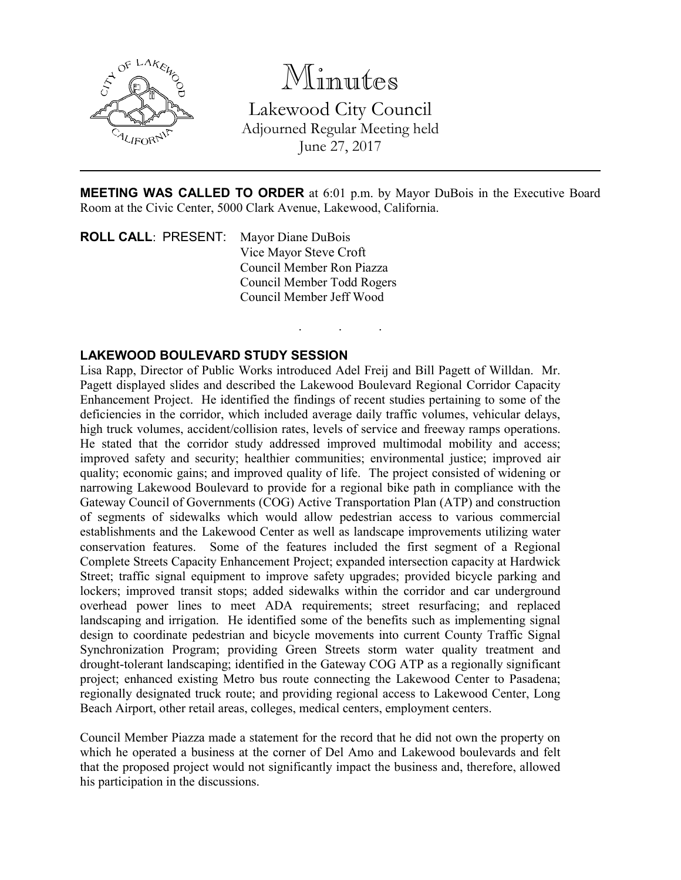

# Minutes

Lakewood City Council Adjourned Regular Meeting held June 27, 2017

MEETING WAS CALLED TO ORDER at 6:01 p.m. by Mayor DuBois in the Executive Board Room at the Civic Center, 5000 Clark Avenue, Lakewood, California.

. . .

ROLL CALL: PRESENT: Mayor Diane DuBois Vice Mayor Steve Croft Council Member Ron Piazza Council Member Todd Rogers Council Member Jeff Wood

#### LAKEWOOD BOULEVARD STUDY SESSION

Lisa Rapp, Director of Public Works introduced Adel Freij and Bill Pagett of Willdan. Mr. Pagett displayed slides and described the Lakewood Boulevard Regional Corridor Capacity Enhancement Project. He identified the findings of recent studies pertaining to some of the deficiencies in the corridor, which included average daily traffic volumes, vehicular delays, high truck volumes, accident/collision rates, levels of service and freeway ramps operations. He stated that the corridor study addressed improved multimodal mobility and access; improved safety and security; healthier communities; environmental justice; improved air quality; economic gains; and improved quality of life. The project consisted of widening or narrowing Lakewood Boulevard to provide for a regional bike path in compliance with the Gateway Council of Governments (COG) Active Transportation Plan (ATP) and construction of segments of sidewalks which would allow pedestrian access to various commercial establishments and the Lakewood Center as well as landscape improvements utilizing water conservation features. Some of the features included the first segment of a Regional Complete Streets Capacity Enhancement Project; expanded intersection capacity at Hardwick Street; traffic signal equipment to improve safety upgrades; provided bicycle parking and lockers; improved transit stops; added sidewalks within the corridor and car underground overhead power lines to meet ADA requirements; street resurfacing; and replaced landscaping and irrigation. He identified some of the benefits such as implementing signal design to coordinate pedestrian and bicycle movements into current County Traffic Signal Synchronization Program; providing Green Streets storm water quality treatment and drought-tolerant landscaping; identified in the Gateway COG ATP as a regionally significant project; enhanced existing Metro bus route connecting the Lakewood Center to Pasadena; regionally designated truck route; and providing regional access to Lakewood Center, Long Beach Airport, other retail areas, colleges, medical centers, employment centers.

Council Member Piazza made a statement for the record that he did not own the property on which he operated a business at the corner of Del Amo and Lakewood boulevards and felt that the proposed project would not significantly impact the business and, therefore, allowed his participation in the discussions.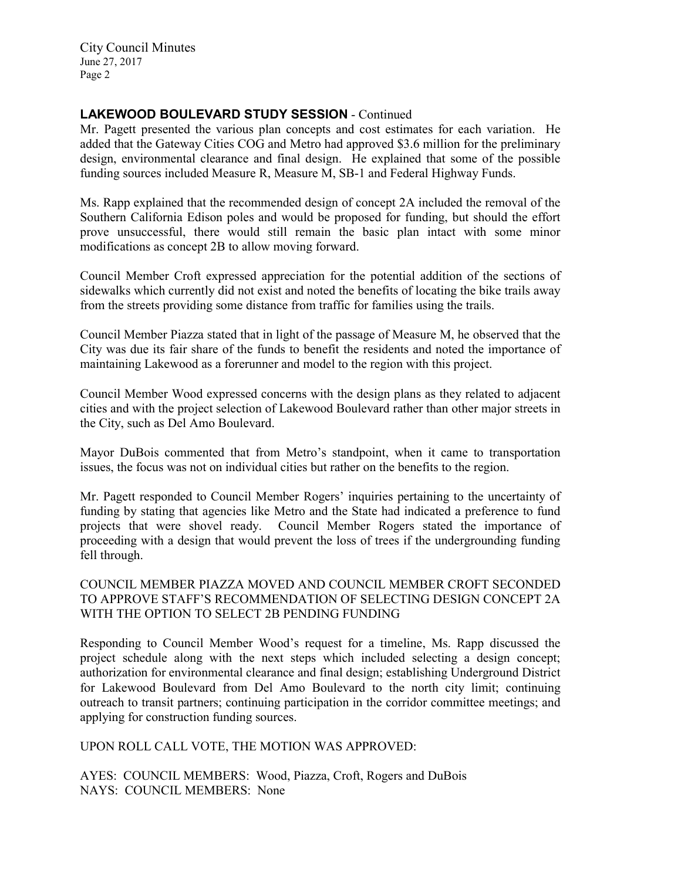City Council Minutes June 27, 2017 Page 2

### LAKEWOOD BOULEVARD STUDY SESSION - Continued

Mr. Pagett presented the various plan concepts and cost estimates for each variation. He added that the Gateway Cities COG and Metro had approved \$3.6 million for the preliminary design, environmental clearance and final design. He explained that some of the possible funding sources included Measure R, Measure M, SB-1 and Federal Highway Funds.

Ms. Rapp explained that the recommended design of concept 2A included the removal of the Southern California Edison poles and would be proposed for funding, but should the effort prove unsuccessful, there would still remain the basic plan intact with some minor modifications as concept 2B to allow moving forward.

Council Member Croft expressed appreciation for the potential addition of the sections of sidewalks which currently did not exist and noted the benefits of locating the bike trails away from the streets providing some distance from traffic for families using the trails.

Council Member Piazza stated that in light of the passage of Measure M, he observed that the City was due its fair share of the funds to benefit the residents and noted the importance of maintaining Lakewood as a forerunner and model to the region with this project.

Council Member Wood expressed concerns with the design plans as they related to adjacent cities and with the project selection of Lakewood Boulevard rather than other major streets in the City, such as Del Amo Boulevard.

Mayor DuBois commented that from Metro's standpoint, when it came to transportation issues, the focus was not on individual cities but rather on the benefits to the region.

Mr. Pagett responded to Council Member Rogers' inquiries pertaining to the uncertainty of funding by stating that agencies like Metro and the State had indicated a preference to fund projects that were shovel ready. Council Member Rogers stated the importance of proceeding with a design that would prevent the loss of trees if the undergrounding funding fell through.

#### COUNCIL MEMBER PIAZZA MOVED AND COUNCIL MEMBER CROFT SECONDED TO APPROVE STAFF'S RECOMMENDATION OF SELECTING DESIGN CONCEPT 2A WITH THE OPTION TO SELECT 2B PENDING FUNDING

Responding to Council Member Wood's request for a timeline, Ms. Rapp discussed the project schedule along with the next steps which included selecting a design concept; authorization for environmental clearance and final design; establishing Underground District for Lakewood Boulevard from Del Amo Boulevard to the north city limit; continuing outreach to transit partners; continuing participation in the corridor committee meetings; and applying for construction funding sources.

UPON ROLL CALL VOTE, THE MOTION WAS APPROVED:

AYES: COUNCIL MEMBERS: Wood, Piazza, Croft, Rogers and DuBois NAYS: COUNCIL MEMBERS: None